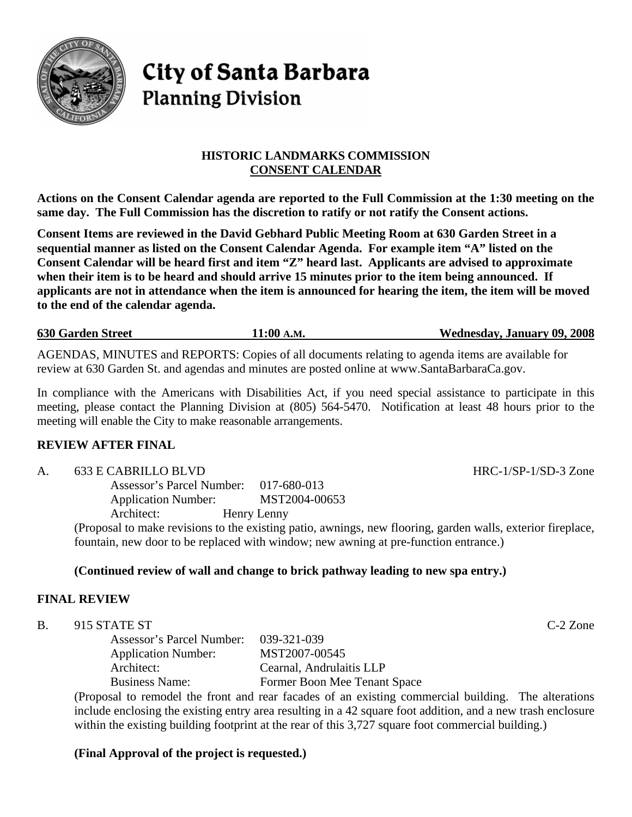

# **City of Santa Barbara Planning Division**

## **HISTORIC LANDMARKS COMMISSION CONSENT CALENDAR**

**Actions on the Consent Calendar agenda are reported to the Full Commission at the 1:30 meeting on the same day. The Full Commission has the discretion to ratify or not ratify the Consent actions.** 

**Consent Items are reviewed in the David Gebhard Public Meeting Room at 630 Garden Street in a sequential manner as listed on the Consent Calendar Agenda. For example item "A" listed on the Consent Calendar will be heard first and item "Z" heard last. Applicants are advised to approximate when their item is to be heard and should arrive 15 minutes prior to the item being announced. If applicants are not in attendance when the item is announced for hearing the item, the item will be moved to the end of the calendar agenda.** 

**630 Garden Street 11:00 A.M. Wednesday, January 09, 2008**

AGENDAS, MINUTES and REPORTS: Copies of all documents relating to agenda items are available for review at 630 Garden St. and agendas and minutes are posted online at [www.SantaBarbaraCa.gov.](http://www.santabarbaraca.gov/)

In compliance with the Americans with Disabilities Act, if you need special assistance to participate in this meeting, please contact the Planning Division at (805) 564-5470. Notification at least 48 hours prior to the meeting will enable the City to make reasonable arrangements.

## **REVIEW AFTER FINAL**

A. 633 E CABRILLO BLVD HRC-1/SP-1/SD-3 Zone

Assessor's Parcel Number: 017-680-013 Application Number: MST2004-00653 Architect: Henry Lenny

(Proposal to make revisions to the existing patio, awnings, new flooring, garden walls, exterior fireplace, fountain, new door to be replaced with window; new awning at pre-function entrance.)

## **(Continued review of wall and change to brick pathway leading to new spa entry.)**

## **FINAL REVIEW**

B. 915 STATE ST C-2 Zone

Assessor's Parcel Number: 039-321-039 Application Number: MST2007-00545 Architect: Cearnal, Andrulaitis LLP Business Name: Former Boon Mee Tenant Space

(Proposal to remodel the front and rear facades of an existing commercial building. The alterations include enclosing the existing entry area resulting in a 42 square foot addition, and a new trash enclosure within the existing building footprint at the rear of this 3,727 square foot commercial building.)

## **(Final Approval of the project is requested.)**